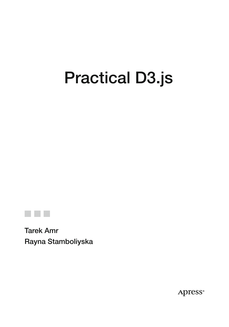# **Practical D3.js**



**Tarek Amr Rayna Stamboliyska**

**Apress**®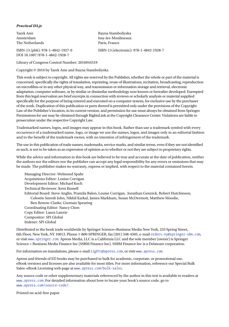#### *Practical D3.js*

Tarek Amr **Rayna Stamboliyska** The Netherlands **Paris**, France

ISBN-13 (pbk): 978-1-4842-1927-0 ISBN-13 (electronic): 978-1-4842-1928-7 DOI 10.1007/978-1-4842-1928-7

Amsterdam Issy-les-Moulineaux

Library of Congress Control Number: 2016944319

Copyright © 2016 by Tarek Amr and Rayna Stamboliyska

This work is subject to copyright. All rights are reserved by the Publisher, whether the whole or part of the material is concerned, specifically the rights of translation, reprinting, reuse of illustrations, recitation, broadcasting, reproduction on microfilms or in any other physical way, and transmission or information storage and retrieval, electronic adaptation, computer software, or by similar or dissimilar methodology now known or hereafter developed. Exempted from this legal reservation are brief excerpts in connection with reviews or scholarly analysis or material supplied specifically for the purpose of being entered and executed on a computer system, for exclusive use by the purchaser of the work. Duplication of this publication or parts thereof is permitted only under the provisions of the Copyright Law of the Publisher's location, in its current version, and permission for use must always be obtained from Springer. Permissions for use may be obtained through RightsLink at the Copyright Clearance Center. Violations are liable to prosecution under the respective Copyright Law.

Trademarked names, logos, and images may appear in this book. Rather than use a trademark symbol with every occurrence of a trademarked name, logo, or image we use the names, logos, and images only in an editorial fashion and to the benefit of the trademark owner, with no intention of infringement of the trademark.

The use in this publication of trade names, trademarks, service marks, and similar terms, even if they are not identified as such, is not to be taken as an expression of opinion as to whether or not they are subject to proprietary rights.

While the advice and information in this book are believed to be true and accurate at the date of publication, neither the authors nor the editors nor the publisher can accept any legal responsibility for any errors or omissions that may be made. The publisher makes no warranty, express or implied, with respect to the material contained herein.

Managing Director: Welmoed Spahr Acquisitions Editor: Louise Corrigan Development Editor: Michael Koch Technical Reviewer: Kent Russell Editorial Board: Steve Anglin, Pramila Balen, Louise Corrigan, Jonathan Gennick, Robert Hutchinson, Celestin Suresh John, Nikhil Karkal, James Markham, Susan McDermott, Matthew Moodie, Ben Renow-Clarke, Gwenan Spearing Coordinating Editor: Nancy Chen Copy Editor: Laura Lawrie Compositor: SPi Global Indexer: SPi Global

Distributed to the book trade worldwide by Springer Science+Business Media New York, 233 Spring Street, 6th Floor, New York, NY 10013. Phone 1-800-SPRINGER, fax (201) 348-4505, e-mail [orders-ny@springer-sbm.com](mailto:orders-ny@springer-sbm.com) , or visit <www.springer.com>. Apress Media, LLC is a California LLC and the sole member (owner) is Springer Science + Business Media Finance Inc (SSBM Finance Inc). SSBM Finance Inc is a Delaware corporation.

For information on translations, please e-mail [rights@apress.com](mailto:rights@apress.com), or visit www.apress.com.

Apress and friends of ED books may be purchased in bulk for academic, corporate, or promotional use. eBook versions and licenses are also available for most titles. For more information, reference our Special Bulk Sales-eBook Licensing web page at www.apress.com/bulk-sales.

Any source code or other supplementary materials referenced by the author in this text is available to readers at <www.apress.com>. For detailed information about how to locate your book's source code, go to <www.apress.com/source-code/>.

Printed on acid-free paper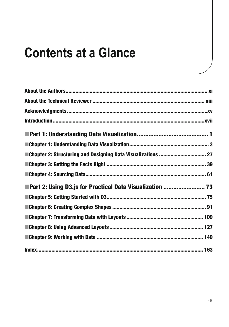## **Contents at a Glance**

| ■Part 2: Using D3.js for Practical Data Visualization  73 |  |
|-----------------------------------------------------------|--|
|                                                           |  |
|                                                           |  |
|                                                           |  |
|                                                           |  |
|                                                           |  |
|                                                           |  |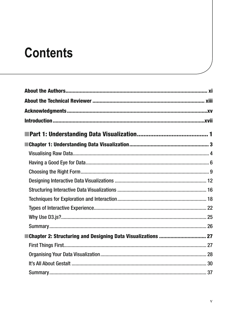## **Contents**

| ■Chapter 2: Structuring and Designing Data Visualizations  27 |  |
|---------------------------------------------------------------|--|
|                                                               |  |
|                                                               |  |
|                                                               |  |
|                                                               |  |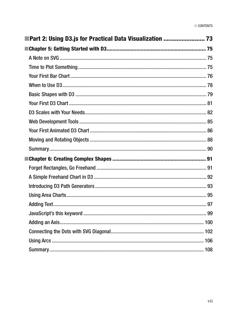| <b>Part 2: Using D3.js for Practical Data Visualization  73</b> |
|-----------------------------------------------------------------|
|                                                                 |
|                                                                 |
|                                                                 |
|                                                                 |
|                                                                 |
|                                                                 |
|                                                                 |
|                                                                 |
|                                                                 |
|                                                                 |
|                                                                 |
|                                                                 |
|                                                                 |
|                                                                 |
|                                                                 |
|                                                                 |
|                                                                 |
|                                                                 |
|                                                                 |
|                                                                 |
|                                                                 |
|                                                                 |
|                                                                 |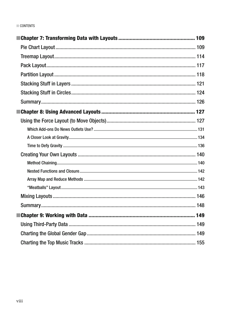#### $\blacksquare$  CONTENTS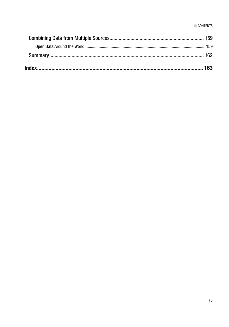#### CONTENTS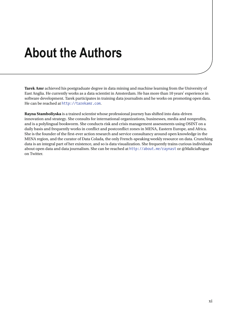### **About the Authors**

 **Tarek Amr** achieved his postgraduate degree in data mining and machine learning from the University of East Anglia. He currently works as a data scientist in Amsterdam. He has more than 10 years' experience in software development. Tarek participates in training data journalists and he works on promoting open data. He can be reached at [http://tarekamr.com](http://tarekamr.com/).

 **Rayna Stamboliyska** is a trained scientist whose professional journey has shifted into data-driven innovation and strategy. She consults for international organizations, businesses, media and nonprofits, and is a polylingual bookworm. She conducts risk and crisis management assessments using OSINT on a daily basis and frequently works in conflict and postconflict zones in MENA, Eastern Europe, and Africa. She is the founder of the first-ever action research and service consultancy around open knowledge in the MENA region, and the curator of Data Colada, the only French-speaking weekly resource on data. Crunching data is an integral part of her existence, and so is data visualization. She frequently trains curious individuals about open data and data journalism. She can be reached at <http://about.me/raynast> or @MaliciaRogue on Twitter.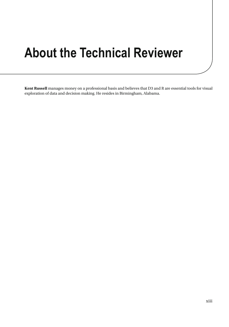## **About the Technical Reviewer**

 **Kent Russell** manages money on a professional basis and believes that D3 and R are essential tools for visual exploration of data and decision making. He resides in Birmingham, Alabama.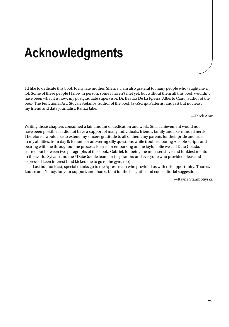### **Acknowledgments**

 I'd like to dedicate this book to my late mother, Sherifa. I am also grateful to many people who taught me a lot. Some of these people I know in person, some I haven't met yet, but without them all this book wouldn't have been what it is now: my postgraduate supervisor, Dr. Beatriz De La Iglesia; Alberto Cairo, author of the book The Functional Art; Stoyan Stefanov, author of the book JavaScript Patterns; and last but not least, my friend and data journalist, Ramzi Jaber.

—Tarek Amr

Writing those chapters consumed a fair amount of dedication and work. Still, achievement would not have been possible if I did not have a support of many individuals: friends, family and like-minded nerds. Therefore, I would like to extend my sincere gratitude to all of them: my parents for their pride and trust in my abilities, from day 0; Benoît, for answering silly questions while troubleshooting Ansible scripts and bearing with me throughout the process; Pierre, for embarking on the joyful folie we call Data Colada, started out between two paragraphs of this book; Gabriel, for being the most sensitive and funkiest mentor in the world; Sylvain and the #DataGueule team for inspiration; and everyone who provided ideas and expressed keen interest (and kicked me to go to the gym, too).

Last but not least, special thanks go to the Apress team who provided us with this opportunity. Thanks, Louise and Nancy, for your support, and thanks Kent for the insightful and cool editorial suggestions.

—Rayna Stamboliyska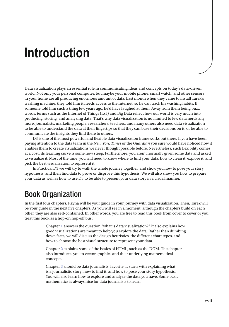### **Introd uction**

 Data visualization plays an essential role in communicating ideas and concepts on today's data-driven world. Not only your personal computer, but maybe your mobile phone, smart watch, and other sensors in your home are all producing enormous amount of data. Last month when they came to install Tarek's washing machine, they told him it needs access to the Internet, so he can track his washing habits. If someone told him such a thing few years ago, he'd have laughed at them. Away from them being buzz words, terms such as the Internet of Things (IoT) and Big Data reflect how our world is very much into producing, storing, and analyzing data. That's why data visualization is not limited to few data nerds any more; journalists, marketing people, researchers, teachers, and many others also need data visualization to be able to understand the data at their fingertips so that they can base their decisions on it, or be able to communicate the insights they find there to others.

 D3 is one of the most powerful and flexible data visualization frameworks out there. If you have been paying attention to the data team in the *New York Times* or the *Guardian* you sure would have noticed how it enables them to create visualizations we never thought possible before. Nevertheless, such flexibility comes at a cost; its learning curve is some how steep. Furthermore, you aren't normally given some data and asked to visualize it. Most of the time, you will need to know where to find your data, how to clean it, explore it, and pick the best visualization to represent it.

 In Practical D3 we will try to walk the whole journey together, and show you how to pose your story hypothesis, and then find data to prove or disprove this hypothesis. We will also show you how to prepare your data as well as how to use D3 to be able to present your data story in a visual manner.

#### Book Organization

 In the first four chapters, Rayna will be your guide in your journey with data visualization. Then, Tarek will be your guide in the next five chapters. As you will see in a moment, although the chapters build on each other, they are also self-contained. In other words, you are free to read this book from cover to cover or you treat this book as a hop-on hop-off bus:

> Chapter [1](http://dx.doi.org/10.1007/978-1-4842-1928-7_1) answers the question "what is data visualization?" It also explains how good visualizations are meant to help you explore the data. Rather than dumbing down facts, we will discuss the design heuristics, the different chart types, and how to choose the best visual structure to represent your data.

 Chapter [2](http://dx.doi.org/10.1007/978-1-4842-1928-7_2) explains some of the basics of HTML, such as the DOM. The chapter also introduces you to vector graphics and their underlying mathematical concepts.

 Chapter [3](http://dx.doi.org/10.1007/978-1-4842-1928-7_3) should be data journalists' favorite. It starts with explaining what is a journalistic story, how to find it, and how to pose your story hypothesis. You will also learn how to explore and analyze the data you have. Some basic mathematics is always nice for data journalists to learn.